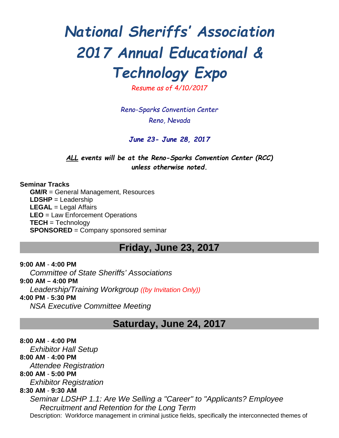# *National Sheriffs' Association 2017 Annual Educational & Technology Expo*

*Resume as of 4/10/2017*

*Reno-Sparks Convention Center Reno, Nevada*

*June 23- June 28, 2017*

*ALL events will be at the Reno-Sparks Convention Center (RCC) unless otherwise noted.*

**Seminar Tracks GM/R** = General Management, Resources **LDSHP** = Leadership **LEGAL** = Legal Affairs **LEO** = Law Enforcement Operations **TECH** = Technology **SPONSORED** = Company sponsored seminar

# **Friday, June 23, 2017**

**9:00 AM** - **4:00 PM** *Committee of State Sheriffs' Associations* **9:00 AM – 4:00 PM** *Leadership/Training Workgroup ((by Invitation Only))* **4:00 PM** - **5:30 PM** *NSA Executive Committee Meeting*

# **Saturday, June 24, 2017**

**8:00 AM** - **4:00 PM** *Exhibitor Hall Setup*  **8:00 AM** - **4:00 PM** *Attendee Registration* **8:00 AM** - **5:00 PM** *Exhibitor Registration* **8:30 AM** - **9:30 AM** *Seminar LDSHP 1.1: Are We Selling a "Career" to "Applicants? Employee Recruitment and Retention for the Long Term* Description: Workforce management in criminal justice fields, specifically the interconnected themes of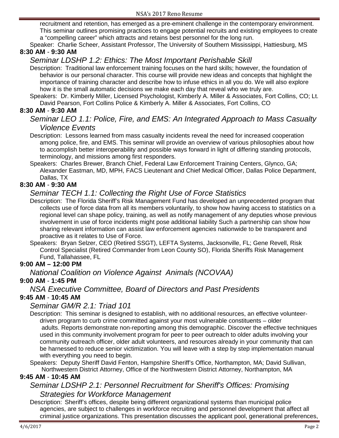recruitment and retention, has emerged as a pre-eminent challenge in the contemporary environment. This seminar outlines promising practices to engage potential recruits and existing employees to create a "compelling career" which attracts and retains best personnel for the long run.

Speaker: Charlie Scheer, Assistant Professor, The University of Southern Mississippi, Hattiesburg, MS **8:30 AM** - **9:30 AM**

# *Seminar LDSHP 1.2: Ethics: The Most Important Perishable Skill*

- Description: Traditional law enforcement training focuses on the hard skills; however, the foundation of behavior is our personal character. This course will provide new ideas and concepts that highlight the importance of training character and describe how to infuse ethics in all you do. We will also explore how it is the small automatic decisions we make each day that reveal who we truly are.
- Speakers: Dr. Kimberly Miller, Licensed Psychologist, Kimberly A. Miller & Associates, Fort Collins, CO; Lt. David Pearson, Fort Collins Police & Kimberly A. Miller & Associates, Fort Collins, CO

### **8:30 AM** - **9:30 AM**

# *Seminar LEO 1.1: Police, Fire, and EMS: An Integrated Approach to Mass Casualty Violence Events*

Description: Lessons learned from mass casualty incidents reveal the need for increased cooperation among police, fire, and EMS. This seminar will provide an overview of various philosophies about how to accomplish better interoperability and possible ways forward in light of differing standing protocols, terminology, and missions among first responders.

Speakers: Charles Brewer, Branch Chief, Federal Law Enforcement Training Centers, Glynco, GA; Alexander Eastman, MD, MPH, FACS Lieutenant and Chief Medical Officer, Dallas Police Department, Dallas, TX

# **8:30 AM** - **9:30 AM**

# *Seminar TECH 1.1: Collecting the Right Use of Force Statistics*

- Description: The Florida Sheriff's Risk Management Fund has developed an unprecedented program that collects use of force data from all its members voluntarily, to show how having access to statistics on a regional level can shape policy, training, as well as notify management of any deputies whose previous involvement in use of force incidents might pose additional liability Such a partnership can show how sharing relevant information can assist law enforcement agencies nationwide to be transparent and proactive as it relates to Use of Force.
- Speakers: Bryan Selzer, CEO (Retired SSGT), LEFTA Systems, Jacksonville, FL; Gene Revell, Risk Control Specialist (Retired Commander from Leon County SO), Florida Sheriffs Risk Management Fund, Tallahassee, FL

### **9:00 AM – 12:00 PM**

### *National Coalition on Violence Against Animals (NCOVAA)*

### **9:00 AM** - **1:45 PM**

### *NSA Executive Committee, Board of Directors and Past Presidents*

### **9:45 AM** - **10:45 AM**

### *Seminar GM/R 2.1: Triad 101*

Description: This seminar is designed to establish, with no additional resources, an effective volunteerdriven program to curb crime committed against your most vulnerable constituents – older adults. Reports demonstrate non-reporting among this demographic. Discover the effective techniques used in this community involvement program for peer to peer outreach to older adults involving your community outreach officer, older adult volunteers, and resources already in your community that can be harnessed to reduce senior victimization. You will leave with a step by step implementation manual with everything you need to begin.

Speakers: Deputy Sheriff David Fenton, Hampshire Sheriff's Office, Northampton, MA; David Sullivan, Northwestern District Attorney, Office of the Northwestern District Attorney, Northampton, MA

### **9:45 AM** - **10:45 AM**

# *Seminar LDSHP 2.1: Personnel Recruitment for Sheriff's Offices: Promising Strategies for Workforce Management*

Description: Sheriff's offices, despite being different organizational systems than municipal police agencies, are subject to challenges in workforce recruiting and personnel development that affect all criminal justice organizations. This presentation discusses the applicant pool, generational preferences,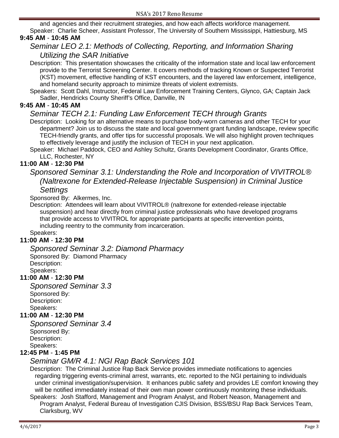and agencies and their recruitment strategies, and how each affects workforce management. Speaker: Charlie Scheer, Assistant Professor, The University of Southern Mississippi, Hattiesburg, MS

# **9:45 AM** - **10:45 AM**

# *Seminar LEO 2.1: Methods of Collecting, Reporting, and Information Sharing Utilizing the SAR Initiative*

Description: This presentation showcases the criticality of the information state and local law enforcement provide to the Terrorist Screening Center. It covers methods of tracking Known or Suspected Terrorist (KST) movement, effective handling of KST encounters, and the layered law enforcement, intelligence, and homeland security approach to minimize threats of violent extremists.

Speakers: Scott Dahl, Instructor, Federal Law Enforcement Training Centers, Glynco, GA; Captain Jack Sadler, Hendricks County Sheriff's Office, Danville, IN

### **9:45 AM** - **10:45 AM**

# *Seminar TECH 2.1: Funding Law Enforcement TECH through Grants*

Description: Looking for an alternative means to purchase body-worn cameras and other TECH for your department? Join us to discuss the state and local government grant funding landscape, review specific TECH-friendly grants, and offer tips for successful proposals. We will also highlight proven techniques to effectively leverage and justify the inclusion of TECH in your next application.

Speaker: Michael Paddock, CEO and Ashley Schultz, Grants Development Coordinator, Grants Office, LLC, Rochester, NY

### **11:00 AM** - **12:30 PM**

# *Sponsored Seminar 3.1: Understanding the Role and Incorporation of VIVITROL® (Naltrexone for Extended-Release Injectable Suspension) in Criminal Justice Settings*

Sponsored By: Alkermes, Inc.

Description: Attendees will learn about VIVITROL® (naltrexone for extended-release injectable suspension) and hear directly from criminal justice professionals who have developed programs that provide access to VIVITROL for appropriate participants at specific intervention points, including reentry to the community from incarceration.

#### Speakers:

### **11:00 AM** - **12:30 PM**

*Sponsored Seminar 3.2: Diamond Pharmacy* Sponsored By: Diamond Pharmacy Description: Speakers:

# **11:00 AM** - **12:30 PM**

*Sponsored Seminar 3.3* Sponsored By: Description: Speakers:

### **11:00 AM** - **12:30 PM**

*Sponsored Seminar 3.4* Sponsored By: Description: Speakers:

### **12:45 PM** - **1:45 PM**

### *Seminar GM/R 4.1: NGI Rap Back Services 101*

Description: The Criminal Justice Rap Back Service provides immediate notifications to agencies regarding triggering events-criminal arrest, warrants, etc. reported to the NGI pertaining to individuals under criminal investigation/supervision. It enhances public safety and provides LE comfort knowing they will be notified immediately instead of their own man power continuously monitoring these individuals.

Speakers: Josh Stafford, Management and Program Analyst, and Robert Neason, Management and Program Analyst, Federal Bureau of Investigation CJIS Division, BSS/BSU Rap Back Services Team, Clarksburg, WV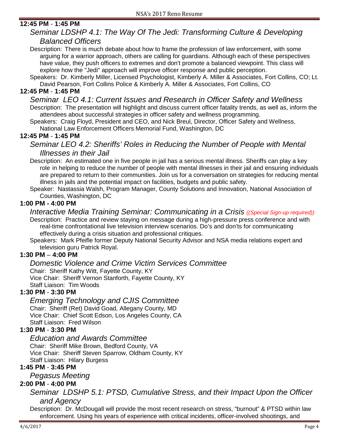### **12:45 PM** - **1:45 PM**

# *Seminar LDSHP 4.1: The Way Of The Jedi: Transforming Culture & Developing Balanced Officers*

Description: There is much debate about how to frame the profession of law enforcement, with some arguing for a warrior approach, others are calling for guardians. Although each of these perspectives have value, they push officers to extremes and don't promote a balanced viewpoint. This class will explore how the "Jedi" approach will improve officer response and public perception.

Speakers: Dr. Kimberly Miller, Licensed Psychologist, Kimberly A. Miller & Associates, Fort Collins, CO; Lt. David Pearson, Fort Collins Police & Kimberly A. Miller & Associates, Fort Collins, CO

### **12:45 PM** - **1:45 PM**

*Seminar LEO 4.1: Current Issues and Research in Officer Safety and Wellness* Description: The presentation will highlight and discuss current officer fatality trends, as well as, inform the attendees about successful strategies in officer safety and wellness programming.

Speakers: Craig Floyd, President and CEO, and Nick Breul, Director, Officer Safety and Wellness, National Law Enforcement Officers Memorial Fund, Washington, DC

**12:45 PM** - **1:45 PM**

*Seminar LEO 4.2: Sheriffs' Roles in Reducing the Number of People with Mental Illnesses in their Jail*

Description: An estimated one in five people in jail has a serious mental illness. Sheriffs can play a key role in helping to reduce the number of people with mental illnesses in their jail and ensuring individuals are prepared to return to their communities. Join us for a conversation on strategies for reducing mental illness in jails and the potential impact on facilities, budgets and public safety.

Speaker: Nastassia Walsh, Program Manager, County Solutions and Innovation, National Association of Counties, Washington, DC

### **1:00 PM - 4:00 PM**

# *Interactive Media Training Seminar: Communicating in a Crisis ((Special Sign-up required))*

Description: Practice and review staying on message during a high-pressure press conference and with real-time confrontational live television interview scenarios. Do's and don'ts for communicating effectively during a crisis situation and professional critiques.

Speakers: Mark Pfeifle former Deputy National Security Advisor and NSA media relations expert and television guru Patrick Royal.

### **1:30 PM** – **4:00 PM**

### *Domestic Violence and Crime Victim Services Committee*

Chair: Sheriff Kathy Witt, Fayette County, KY Vice Chair: Sheriff Vernon Stanforth, Fayette County, KY Staff Liaison: Tim Woods

### **1:30 PM** - **3:30 PM**

# *Emerging Technology and CJIS Committee*

Chair: Sheriff (Ret) David Goad, Allegany County, MD Vice Chair: Chief Scott Edson, Los Angeles County, CA Staff Liaison: Fred Wilson

# **1:30 PM** - **3:30 PM**

# *Education and Awards Committee*

Chair: Sheriff Mike Brown, Bedford County, VA Vice Chair: Sheriff Steven Sparrow, Oldham County, KY Staff Liaison: Hilary Burgess

**1:45 PM** - **3:45 PM**

*Pegasus Meeting*

### **2:00 PM** - **4:00 PM**

# *Seminar LDSHP 5.1: PTSD, Cumulative Stress, and their Impact Upon the Officer and Agency*

Description: Dr. McDougall will provide the most recent research on stress, "burnout" & PTSD within law enforcement. Using his years of experience with critical incidents, officer-involved shootings, and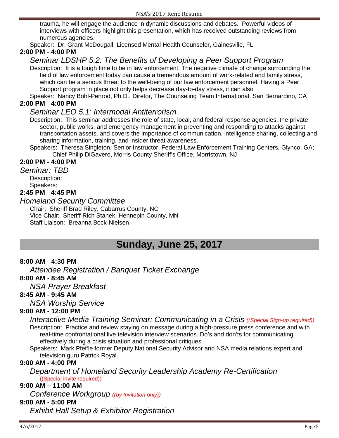trauma, he will engage the audience in dynamic discussions and debates. Powerful videos of interviews with officers highlight this presentation, which has received outstanding reviews from numerous agencies.

Speaker: Dr. Grant McDougall, Licensed Mental Health Counselor, Gainesville, FL

### **2:00 PM** - **4:00 PM**

# *Seminar LDSHP 5.2: The Benefits of Developing a Peer Support Program*

Description: It is a tough time to be in law enforcement. The negative climate of change surrounding the field of law enforcement today can cause a tremendous amount of work-related and family stress, which can be a serious threat to the well-being of our law enforcement personnel. Having a Peer Support program in place not only helps decrease day-to-day stress, it can also

Speaker: Nancy Bohl-Penrod, Ph.D., Diretor, The Counseling Team International, San Bernardino, CA **2:00 PM** - **4:00 PM**

### *Seminar LEO 5.1: Intermodal Antiterrorism*

Description: This seminar addresses the role of state, local, and federal response agencies, the private sector, public works, and emergency management in preventing and responding to attacks against transportation assets, and covers the importance of communication, intelligence sharing, collecting and sharing information, training, and insider threat awareness.

Speakers: Theresa Singleton, Senior Instructor, Federal Law Enforcement Training Centers, Glynco, GA; Chief Philip DiGavero, Morris County Sheriff's Office, Morristown, NJ

### **2:00 PM** - **4:00 PM**

*Seminar: TBD*

Description: Speakers:

### **2:45 PM** - **4:45 PM**

### *Homeland Security Committee*

Chair: Sheriff Brad Riley, Cabarrus County, NC Vice Chair: Sheriff Rich Stanek, Hennepin County, MN Staff Liaison: Breanna Bock-Nielsen

# **Sunday, June 25, 2017**

### **8:00 AM** - **4:30 PM**

*Attendee Registration / Banquet Ticket Exchange*

### **8:00 AM** - **8:45 AM**

*NSA Prayer Breakfast*

### **8:45 AM** - **9:45 AM**

*NSA Worship Service*

### **9:00 AM - 12:00 PM**

*Interactive Media Training Seminar: Communicating in a Crisis ((Special Sign-up required))* Description: Practice and review staying on message during a high-pressure press conference and with real-time confrontational live television interview scenarios. Do's and don'ts for communicating effectively during a crisis situation and professional critiques.

Speakers: Mark Pfeifle former Deputy National Security Advisor and NSA media relations expert and television guru Patrick Royal.

### **9:00 AM - 4:00 PM**

*Department of Homeland Security Leadership Academy Re-Certification* ((Special invite required))

#### **9:00 AM – 11:00 AM**

*Conference Workgroup ((by Invitation only))*

### **9:00 AM** - **5:00 PM**

*Exhibit Hall Setup & Exhibitor Registration*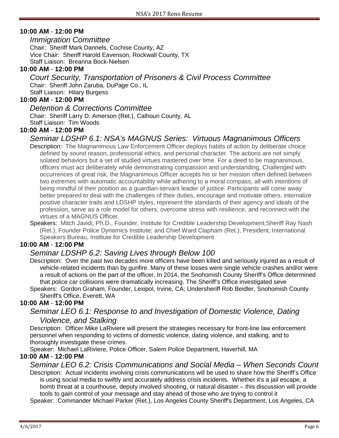### **10:00 AM** - **12:00 PM**

*Immigration Committee* Chair: Sheriff Mark Dannels, Cochise County, AZ Vice Chair: Sheriff Harold Eavenson, Rockwall County, TX Staff Liaison: Breanna Bock-Nielsen

#### **10:00 AM** - **12:00 PM**

*Court Security, Transportation of Prisoners & Civil Process Committee* Chair: Sheriff John Zaruba, DuPage Co., IL Staff Liaison: Hilary Burgess

#### **10:00 AM** - **12:00 PM**

#### *Detention & Corrections Committee*

Chair: Sheriff Larry D. Amerson (Ret.), Calhoun County, AL

Staff Liaison: Tim Woods

### **10:00 AM** - **12:00 PM**

### *Seminar LDSHP 6.1: NSA's MAGNUS Series: Virtuous Magnanimous Officers*

- Description: The Magnanimous Law Enforcement Officer deploys habits of action by deliberate choice defined by sound reason, professional ethics, and personal character. The actions are not simply solated behaviors but a set of studied virtues mastered over time. For a deed to be magnanimous, officers must act deliberately while demonstrating compassion and understanding. Challenged with occurrences of great risk, the Magnanimous Officer accepts his or her mission often defined between two extremes with automatic accountability while adhering to a moral compass, all with intentions of being mindful of their position as a guardian-servant leader of justice. Participants will come away better prepared to deal with the challenges of their duties, encourage and motivate others, internalize positive character traits and LDSHP styles, represent the standards of their agency and ideals of the profession, serve as a role model for others, overcome stress with resilience, and reconnect with the virtues of a MAGNUS Officer.
- Speakers: Mitch Javidi, Ph.D., Founder, Institute for Credible Leadership Development;Sheriff Ray Nash (Ret.), Founder Police Dynamics Institute; and Chief Ward Clapham (Ret.), President, International Speakers Bureau, Institute for Credible Leadership Development

### **10:00 AM** - **12:00 PM**

# *Seminar LDSHP 6.2: Saving Lives through Below 100*

Description: Over the past two decades more officers have been killed and seriously injured as a result of vehicle-related incidents than by gunfire. Many of these losses were single vehicle crashes and/or were a result of actions on the part of the officer. In 2014, the Snohomish County Sheriff's Office determined that police car collisions were dramatically increasing. The Sheriff's Office investigated seve

Speakers: Gordon Graham, Founder, Lexipol, Irvine, CA; Undersheriff Rob Beidler, Snohomish County Sheriff's Office, Everett, WA

# **10:00 AM** - **12:00 PM**

### *Seminar LEO 6.1: Response to and Investigation of Domestic Violence, Dating Violence, and Stalking*

Description: Officer Mike LaRiviere will present the strategies necessary for front-line law enforcement personnel when responding to victims of domestic violence, dating violence, and stalking, and to thoroughly investigate these crimes.

Speaker: Michael LaRiviere, Police Officer, Salem Police Department, Haverhill, MA

### **10:00 AM** - **12:00 PM**

*Seminar LEO 6.2: Crisis Communications and Social Media – When Seconds Count*

Description: Actual incidents involving crisis communications will be used to share how the Sheriff's Office is using social media to swiftly and accurately address crisis incidents. Whether it's a jail escape, a bomb threat at a courthouse, deputy involved shooting, or natural disaster – this discussion will provide tools to gain control of your message and stay ahead of those who are trying to control it

Speaker: Commander Michael Parker (Ret.), Los Angeles County Sheriff's Department, Los Angeles, CA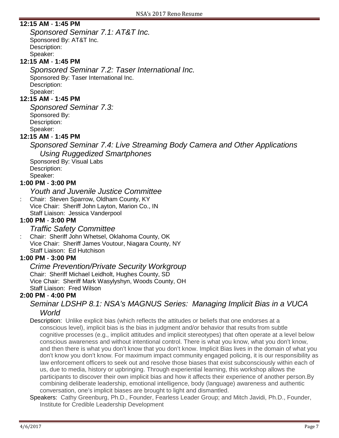### **12:15 AM** - **1:45 PM**

*Sponsored Seminar 7.1: AT&T Inc.* Sponsored By: AT&T Inc. Description: Speaker:

# **12:15 AM** - **1:45 PM**

*Sponsored Seminar 7.2: Taser International Inc.* Sponsored By: Taser International Inc. Description: Speaker:

### **12:15 AM** - **1:45 PM**

*Sponsored Seminar 7.3:* Sponsored By: Description: Speaker:

#### **12:15 AM** - **1:45 PM**

*Sponsored Seminar 7.4: Live Streaming Body Camera and Other Applications Using Ruggedized Smartphones*

Sponsored By: Visual Labs Description: Speaker:

### **1:00 PM** - **3:00 PM**

*Youth and Juvenile Justice Committee*

: Chair: Steven Sparrow, Oldham County, KY Vice Chair: Sheriff John Layton, Marion Co., IN Staff Liaison: Jessica Vanderpool

### **1:00 PM** - **3:00 PM**

### *Traffic Safety Committee*

: Chair: Sheriff John Whetsel, Oklahoma County, OK Vice Chair: Sheriff James Voutour, Niagara County, NY Staff Liaison: Ed Hutchison

### **1:00 PM** - **3:00 PM**

#### *Crime Prevention/Private Security Workgroup* Chair: Sheriff Michael Leidholt, Hughes County, SD Vice Chair: Sheriff Mark Wasylyshyn, Woods County, OH Staff Liaison: Fred Wilson

### **2:00 PM** - **4:00 PM**

# *Seminar LDSHP 8.1: NSA's MAGNUS Series: Managing Implicit Bias in a VUCA World*

Description: Unlike explicit bias (which reflects the attitudes or beliefs that one endorses at a conscious level), implicit bias is the bias in judgment and/or behavior that results from subtle cognitive processes (e.g., implicit attitudes and implicit stereotypes) that often operate at a level below conscious awareness and without intentional control. There is what you know, what you don't know, and then there is what you don't know that you don't know. Implicit Bias lives in the domain of what you don't know you don't know. For maximum impact community engaged policing, it is our responsibility as law enforcement officers to seek out and resolve those biases that exist subconsciously within each of us, due to media, history or upbringing. Through experiential learning, this workshop allows the participants to discover their own implicit bias and how it affects their experience of another person.By combining deliberate leadership, emotional intelligence, body (language) awareness and authentic conversation, one's implicit biases are brought to light and dismantled.

Speakers: Cathy Greenburg, Ph.D., Founder, Fearless Leader Group; and Mitch Javidi, Ph.D., Founder, Institute for Credible Leadership Development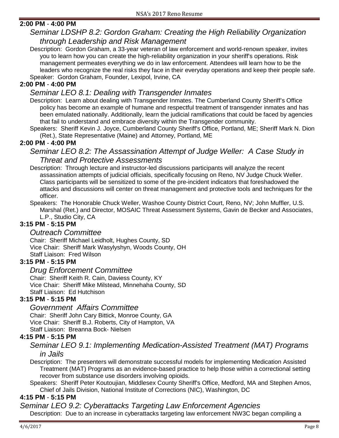# **2:00 PM** - **4:00 PM**

# *Seminar LDSHP 8.2: Gordon Graham: Creating the High Reliability Organization through Leadership and Risk Management*

Description: Gordon Graham, a 33-year veteran of law enforcement and world-renown speaker, invites you to learn how you can create the high-reliability organization in your sheriff's operations. Risk management permeates everything we do in law enforcement. Attendees will learn how to be the leaders who recognize the real risks they face in their everyday operations and keep their people safe. Speaker: Gordon Graham, Founder, Lexipol, Irvine, CA

### **2:00 PM** - **4:00 PM**

# *Seminar LEO 8.1: Dealing with Transgender Inmates*

- Description: Learn about dealing with Transgender Inmates. The Cumberland County Sheriff's Office policy has become an example of humane and respectful treatment of transgender inmates and has been emulated nationally. Additionally, learn the judicial ramifications that could be faced by agencies that fail to understand and embrace diversity within the Transgender community.
- Speakers: Sheriff Kevin J. Joyce, Cumberland County Sheriff's Office, Portland, ME; Sheriff Mark N. Dion (Ret.), State Representative (Maine) and Attorney, Portland, ME

### **2:00 PM** - **4:00 PM**

### *Seminar LEO 8.2: The Assassination Attempt of Judge Weller: A Case Study in Threat and Protective Assessments*

Description: Through lecture and instructor-led discussions participants will analyze the recent assassination attempts of judicial officials, specifically focusing on Reno, NV Judge Chuck Weller. Class participants will be sensitized to some of the pre-incident indicators that foreshadowed the attacks and discussions will center on threat management and protective tools and techniques for the officer.

Speakers: The Honorable Chuck Weller, Washoe County District Court, Reno, NV; John Muffler, U.S. Marshal (Ret.) and Director, MOSAIC Threat Assessment Systems, Gavin de Becker and Associates, L.P., Studio City, CA

### **3:15 PM** - **5:15 PM**

### *Outreach Committee*

Chair: Sheriff Michael Leidholt, Hughes County, SD Vice Chair: Sheriff Mark Wasylyshyn, Woods County, OH Staff Liaison: Fred Wilson

### **3:15 PM** - **5:15 PM**

### *Drug Enforcement Committee*

Chair: Sheriff Keith R. Cain, Daviess County, KY Vice Chair: Sheriff Mike Milstead, Minnehaha County, SD Staff Liaison: Ed Hutchison

### **3:15 PM** - **5:15 PM**

# *Government Affairs Committee*

Chair: Sheriff John Cary Bittick, Monroe County, GA Vice Chair: Sheriff B.J. Roberts, City of Hampton, VA Staff Liaison: Breanna Bock- Nielsen

### **4:15 PM** - **5:15 PM**

### *Seminar LEO 9.1: Implementing Medication-Assisted Treatment (MAT) Programs in Jails*

Description: The presenters will demonstrate successful models for implementing Medication Assisted Treatment (MAT) Programs as an evidence-based practice to help those within a correctional setting recover from substance use disorders involving opioids.

Speakers: Sheriff Peter Koutoujian, Middlesex County Sheriff's Office, Medford, MA and Stephen Amos, Chief of Jails Division, National Institute of Corrections (NIC), Washington, DC

### **4:15 PM** - **5:15 PM**

# *Seminar LEO 9.2: Cyberattacks Targeting Law Enforcement Agencies*

Description: Due to an increase in cyberattacks targeting law enforcement NW3C began compiling a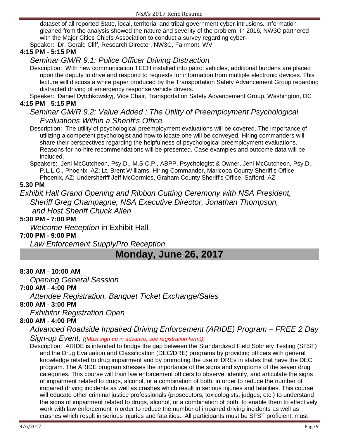dataset of all reported State, local, territorial and tribal government cyber-intrusions. Information gleaned from the analysis showed the nature and severity of the problem. In 2016, NW3C partnered with the Major Cities Chiefs Association to conduct a survey regarding cyber-

Speaker: Dr. Gerald Cliff, Research Director, NW3C, Fairmont, WV

### **4:15 PM** - **5:15 PM**

# *Seminar GM/R 9.1: Police Officer Driving Distraction*

Description: With new communication TECH installed into patrol vehicles, additional burdens are placed upon the deputy to drive and respond to requests for information from multiple electronic devices. This lecture will discuss a white paper produced by the Transportation Safety Advancement Group regarding distracted driving of emergency response vehicle drivers.

Speaker: Daniel Dytchkowskyj, Vice Chair, Transportation Safety Advancement Group, Washington, DC **4:15 PM** - **5:15 PM**

# *Seminar GM/R 9.2: Value Added : The Utility of Preemployment Psychological Evaluations Within a Sheriff's Office*

Description: The utility of psychological preemployment evaluations will be covered. The importance of utilizing a competent psychologist and how to locate one will be conveyed. Hiring commanders will share their perspectives regarding the helpfulness of psychological preemployment evaluations. Reasons for no-hire recommendations will be presented. Case examples and outcome data will be included.

Speakers: Jeni McCutcheon, Psy.D., M.S.C.P., ABPP, Psychologist & Owner, Jeni McCutcheon, Psy.D., P.L.L.C., Phoenix, AZ; Lt. Brent Williams, Hiring Commander, Maricopa County Sheriff's Office, Phoenix, AZ; Undersheriff Jeff McCormies, Graham County Sheriff's Office, Safford, AZ

# **5.30 PM**

*Exhibit Hall Grand Opening and Ribbon Cutting Ceremony with NSA President, Sheriff Greg Champagne, NSA Executive Director, Jonathan Thompson, and Host Sheriff Chuck Allen*

### **5:30 PM - 7:00 PM**

*Welcome Reception* in Exhibit Hall

### **7:00 PM - 9:00 PM**

*Law Enforcement SupplyPro Reception*

# **Monday, June 26, 2017**

### **8:30 AM** - **10:00 AM**

*Opening General Session*

### **7:00 AM** - **4:00 PM**

*Attendee Registration, Banquet Ticket Exchange/Sales*

### **8:00 AM** - **3:00 PM**

*Exhibitor Registration Open*

### **8:00 AM** - **4:00 PM**

# *Advanced Roadside Impaired Driving Enforcement (ARIDE) Program – FREE 2 Day*

*Sign-up Event, ((Must sign up in advance, see registration form))*

Description: ARIDE is intended to bridge the gap between the Standardized Field Sobriety Testing (SFST) and the Drug Evaluation and Classification (DEC/DRE) programs by providing officers with general knowledge related to drug impairment and by promoting the use of DREs in states that have the DEC program. The ARIDE program stresses the importance of the signs and symptoms of the seven drug categories. This course will train law enforcement officers to observe, identify, and articulate the signs of impairment related to drugs, alcohol, or a combination of both, in order to reduce the number of impaired driving incidents as well as crashes which result in serious injuries and fatalities. This course will educate other criminal justice professionals (prosecutors, toxicologists, judges, etc.) to understand the signs of impairment related to drugs, alcohol, or a combination of both, to enable them to effectively work with law enforcement in order to reduce the number of impaired driving incidents as well as crashes which result in serious injuries and fatalities. All participants must be SFST proficient, must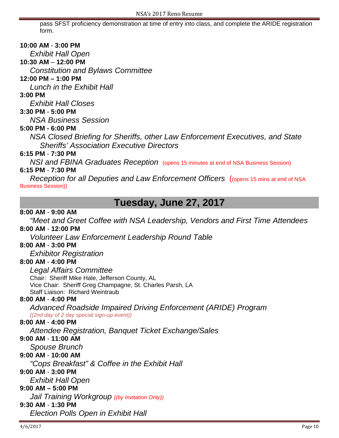pass SFST proficiency demonstration at time of entry into class, and complete the ARIDE registration form.

### **10:00 AM** - **3:00 PM**

*Exhibit Hall Open*

### **10:30 AM** – **12:00 PM**

*Constitution and Bylaws Committee* 

### **12:00 PM – 1:00 PM**

*Lunch in the Exhibit Hall*

### **3:00 PM**

*Exhibit Hall Closes*

### **3:30 PM** - **5:00 PM**

*NSA Business Session*

# **5:00 PM - 6:00 PM**

*NSA Closed Briefing for Sheriffs, other Law Enforcement Executives, and State Sheriffs' Association Executive Directors*

### **6:15 PM** - **7:30 PM**

*NSI and FBINA Graduates Reception* (opens 15 minutes at end of NSA Business Session)

# **6:15 PM** - **7:30 PM**

*Reception for all Deputies and Law Enforcement Officers* ((opens 15 mins at end of NSA Business Session))

# **Tuesday, June 27, 2017**

### **8:00 AM** - **9:00 AM**

*"Meet and Greet Coffee with NSA Leadership, Vendors and First Time Attendees*

# **8:00 AM** - **12:00 PM**

*Volunteer Law Enforcement Leadership Round Table*

### **8:00 AM** - **3:00 PM**

*Exhibitor Registration*

### **8:00 AM** - **4:00 PM**

*Legal Affairs Committee* Chair: Sheriff Mike Hale, Jefferson County, AL Vice Chair: Sheriff Greg Champagne, St. Charles Parsh, LA Staff Liaison: Richard Weintraub

### **8:00 AM** - **4:00 PM**

*Advanced Roadside Impaired Driving Enforcement (ARIDE) Program ((2nd day of 2 day special sign-up event))*

# **8:00 AM** - **4:00 PM**

*Attendee Registration, Banquet Ticket Exchange/Sales*

# **9:00 AM** - **11:00 AM**

*Spouse Brunch*

# **9:00 AM** - **10:00 AM**

*"Cops Breakfast" & Coffee in the Exhibit Hall*

# **9:00 AM** - **3:00 PM**

*Exhibit Hall Open*

# **9:00 AM – 5:00 PM**

*Jail Training Workgroup ((by Invitation Only))*

# **9:30 AM** - **1:30 PM**

*Election Polls Open in Exhibit Hall*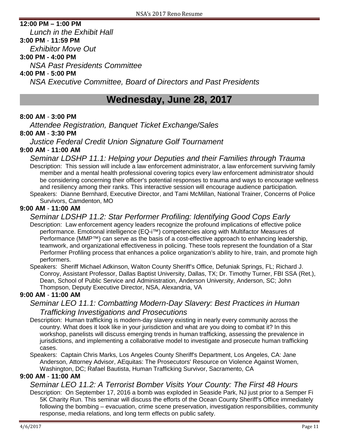### **12:00 PM – 1:00 PM**

*Lunch in the Exhibit Hall* **3:00 PM** - **11:59 PM**

*Exhibitor Move Out*

# **3:00 PM - 4:00 PM**

*NSA Past Presidents Committee*

# **4:00 PM** - **5:00 PM**

*NSA Executive Committee, Board of Directors and Past Presidents*

# **Wednesday, June 28, 2017**

### **8:00 AM** - **3:00 PM**

*Attendee Registration, Banquet Ticket Exchange/Sales*

### **8:00 AM** - **3:30 PM**

*Justice Federal Credit Union Signature Golf Tournament*

### **9:00 AM** - **11:00 AM**

*Seminar LDSHP 11.1: Helping your Deputies and their Families through Trauma* Description: This session will include a law enforcement administrator, a law enforcement surviving family member and a mental health professional covering topics every law enforcement administrator should be considering concerning their officer's potential responses to trauma and ways to encourage wellness and resiliency among their ranks. This interactive session will encourage audience participation. Speakers: Dianne Bernhard, Executive Director, and Tami McMillan, National Trainer, Concerns of Police

Survivors, Camdenton, MO

# **9:00 AM** - **11:00 AM**

# *Seminar LDSHP 11.2: Star Performer Profiling: Identifying Good Cops Early*

Description: Law enforcement agency leaders recognize the profound implications of effective police performance. Emotional intelligence (EQ-i™) competencies along with Multifactor Measures of Performance (MMP™) can serve as the basis of a cost-effective approach to enhancing leadership, teamwork, and organizational effectiveness in policing. These tools represent the foundation of a Star Performer Profiling process that enhances a police organization's ability to hire, train, and promote high performers.

Speakers: Sheriff Michael Adkinson, Walton County Sheriff's Office, Defuniak Springs, FL; Richard J. Conroy, Assistant Professor, Dallas Baptist University, Dallas, TX; Dr. Timothy Turner, FBI SSA (Ret.), Dean, School of Public Service and Administration, Anderson University, Anderson, SC; John Thompson, Deputy Executive Director, NSA, Alexandria, VA

### **9:00 AM** - **11:00 AM**

# *Seminar LEO 11.1: Combatting Modern-Day Slavery: Best Practices in Human Trafficking Investigations and Prosecutions*

Description: Human trafficking is modern-day slavery existing in nearly every community across the country. What does it look like in your jurisdiction and what are you doing to combat it? In this workshop, panelists will discuss emerging trends in human trafficking, assessing the prevalence in jurisdictions, and implementing a collaborative model to investigate and prosecute human trafficking cases.

Speakers: Captain Chris Marks, Los Angeles County Sheriff's Department, Los Angeles, CA: Jane Anderson, Attorney Advisor, AEquitas: The Prosecutors' Resource on Violence Against Women, Washington, DC; Rafael Bautista, Human Trafficking Survivor, Sacramento, CA

### **9:00 AM** - **11:00 AM**

*Seminar LEO 11.2: A Terrorist Bomber Visits Your County: The First 48 Hours* Description: On September 17, 2016 a bomb was exploded in Seaside Park, NJ just prior to a Semper Fi 5K Charity Run. This seminar will discuss the efforts of the Ocean County Sheriff's Office immediately following the bombing – evacuation, crime scene preservation, investigation responsibilities, community response, media relations, and long term effects on public safety.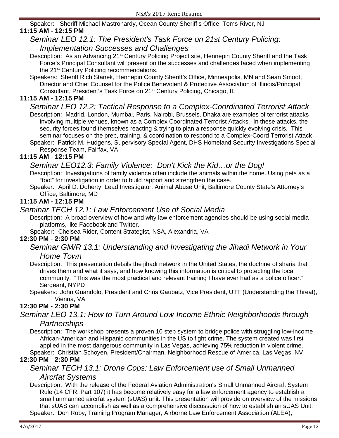Speaker: Sheriff Michael Mastronardy, Ocean County Sheriff's Office, Toms River, NJ

### **11:15 AM** - **12:15 PM**

# *Seminar LEO 12.1: The President's Task Force on 21st Century Policing: Implementation Successes and Challenges*

- Description: As an Advancing 21<sup>st</sup> Century Policing Project site, Hennepin County Sheriff and the Task Force's Principal Consultant will present on the successes and challenges faced when implementing the 21<sup>st</sup> Century Policing recommendations.
- Speakers: Sheriff Rich Stanek, Hennepin County Sheriff's Office, Minneapolis, MN and Sean Smoot, Director and Chief Counsel for the Police Benevolent & Protective Association of Illinois/Principal Consultant, President's Task Force on 21st Century Policing, Chicago, IL

### **11:15 AM** - **12:15 PM**

- *Seminar LEO 12.2: Tactical Response to a Complex-Coordinated Terrorist Attack* Description: Madrid, London, Mumbai, Paris, Nairobi, Brussels, Dhaka are examples of terrorist attacks involving multiple venues, known as a Complex Coordinated Terrorist Attacks. In these attacks, the security forces found themselves reacting & trying to plan a response quickly evolving crisis. This seminar focuses on the prep, training, & coordination to respond to a Complex-Coord Terrorist Attack
- Speaker: Patrick M. Hudgens, Supervisory Special Agent, DHS Homeland Security Investigations Special Response Team, Fairfax, VA

### **11:15 AM** - **12:15 PM**

### *Seminar LEO12.3: Family Violence: Don't Kick the Kid…or the Dog!*

- Description: Investigations of family violence often include the animals within the home. Using pets as a "tool" for investigation in order to build rapport and strengthen the case.
- Speaker: April D. Doherty, Lead Investigator, Animal Abuse Unit, Baltimore County State's Attorney's Office, Baltimore, MD

### **11:15 AM** - **12:15 PM**

### *Seminar TECH 12.1: Law Enforcement Use of Social Media*

Description: A broad overview of how and why law enforcement agencies should be using social media platforms, like Facebook and Twitter.

Speaker: Chelsea Rider, Content Strategist, NSA, Alexandria, VA

### **12:30 PM** - **2:30 PM**

### *Seminar GM/R 13.1: Understanding and Investigating the Jihadi Network in Your Home Town*

- Description: This presentation details the jihadi network in the United States, the doctrine of sharia that drives them and what it says, and how knowing this information is critical to protecting the local community. "This was the most practical and relevant training I have ever had as a police officer." Sergeant, NYPD
- Speakers: John Guandolo, President and Chris Gaubatz, Vice President, UTT (Understanding the Threat), Vienna, VA

### **12:30 PM** - **2:30 PM**

# *Seminar LEO 13.1: How to Turn Around Low-Income Ethnic Neighborhoods through*

### *Partnerships*

Description: The workshop presents a proven 10 step system to bridge police with struggling low-income African-American and Hispanic communities in the US to fight crime. The system created was first applied in the most dangerous community in Las Vegas, achieving 75% reduction in violent crime. Speaker: Christian Schoyen, President/Chairman, Neighborhood Rescue of America, Las Vegas, NV

### **12:30 PM** - **2:30 PM**

# *Seminar TECH 13.1: Drone Cops: Law Enforcement use of Small Unmanned Aircrfat Systems*

Description: With the release of the Federal Aviation Administration's Small Unmanned Aircraft System Rule (14 CFR, Part 107) it has become relatively easy for a law enforcement agency to establish a small unmanned aircrfat system (sUAS) unit. This presentation will provide on overview of the missions that sUAS can accomplish as well as a comprehensive discussuion of how to establish an sUAS Unit. Speaker: Don Roby, Training Program Manager, Airborne Law Enforcement Association (ALEA),